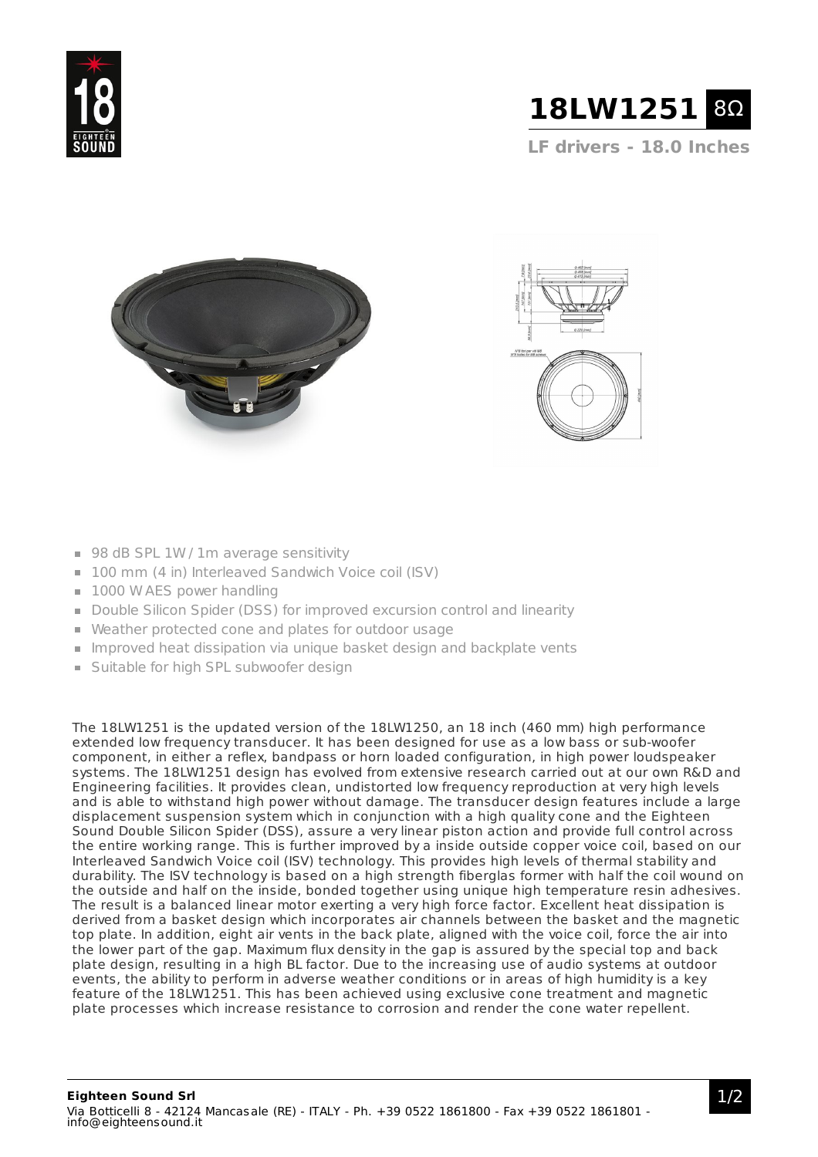



**LF drivers - 18.0 Inches**





- 98 dB SPL 1W / 1m average sensitivity
- 100 mm (4 in) Interleaved Sandwich Voice coil (ISV)
- $\blacksquare$  1000 W AES power handling
- Double Silicon Spider (DSS) for improved excursion control and linearity
- Weather protected cone and plates for outdoor usage
- Improved heat dissipation via unique basket design and backplate vents
- **Suitable for high SPL subwoofer design**

The 18LW1251 is the updated version of the 18LW1250, an 18 inch (460 mm) high performance extended low frequency transducer. It has been designed for use as a low bass or sub-woofer component, in either a reflex, bandpass or horn loaded configuration, in high power loudspeaker systems. The 18LW1251 design has evolved from extensive research carried out at our own R&D and Engineering facilities. It provides clean, undistorted low frequency reproduction at very high levels and is able to withstand high power without damage. The transducer design features include a large displacement suspension system which in conjunction with a high quality cone and the Eighteen Sound Double Silicon Spider (DSS), assure a very linear piston action and provide full control across the entire working range. This is further improved by a inside outside copper voice coil, based on our Interleaved Sandwich Voice coil (ISV) technology. This provides high levels of thermal stability and durability. The ISV technology is based on a high strength fiberglas former with half the coil wound on the outside and half on the inside, bonded together using unique high temperature resin adhesives. The result is a balanced linear motor exerting a very high force factor. Excellent heat dissipation is derived from a basket design which incorporates air channels between the basket and the magnetic top plate. In addition, eight air vents in the back plate, aligned with the voice coil, force the air into the lower part of the gap. Maximum flux density in the gap is assured by the special top and back plate design, resulting in a high BL factor. Due to the increasing use of audio systems at outdoor events, the ability to perform in adverse weather conditions or in areas of high humidity is a key feature of the 18LW1251. This has been achieved using exclusive cone treatment and magnetic plate processes which increase resistance to corrosion and render the cone water repellent.